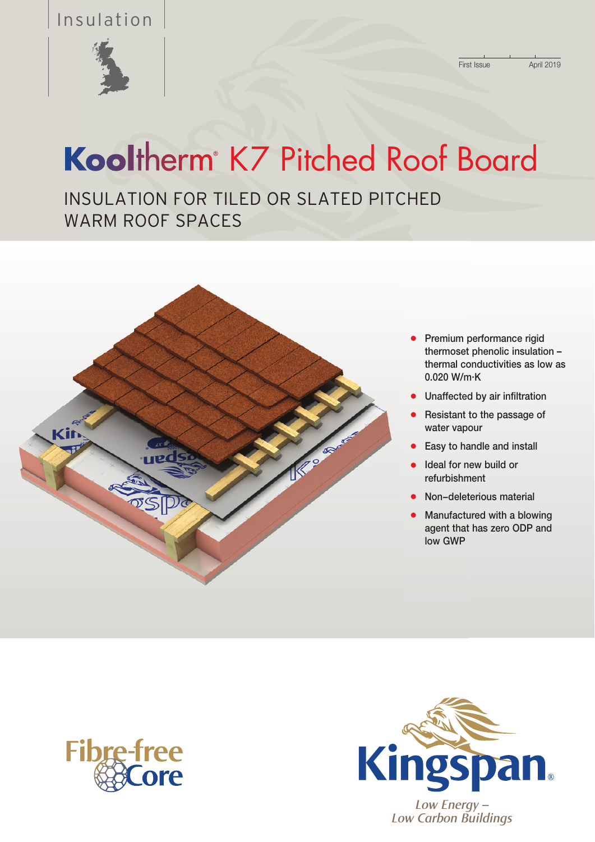# Insulation



ï

# Kooltherm<sup>®</sup> K7 Pitched Roof Board

INSULATION FOR TILED OR SLATED PITCHED WARM ROOF SPACES



- Premium performance rigid thermoset phenolic insulation – thermal conductivities as low as 0.020 W/m. K
- Unaffected by air infiltration
- Resistant to the passage of water vapour
- Easy to handle and install
- Ideal for new build or refurbishment
- l Non−deleterious material
- $\bullet$  Manufactured with a blowing agent that has zero ODP and low GWP